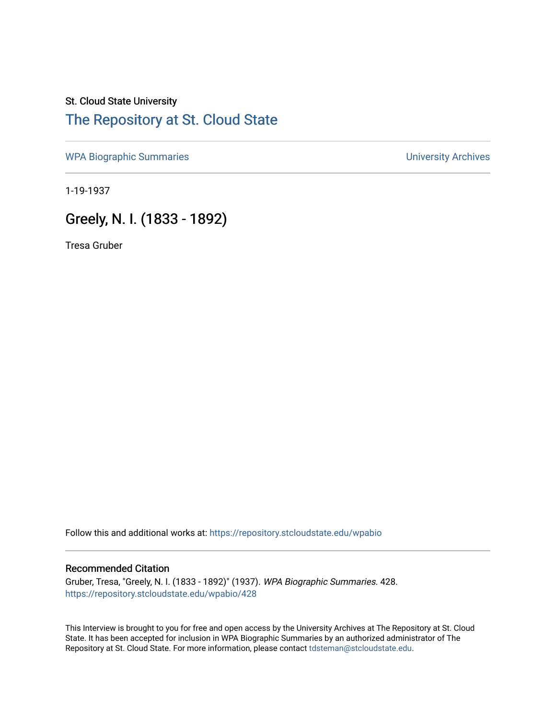# St. Cloud State University [The Repository at St. Cloud State](https://repository.stcloudstate.edu/)

[WPA Biographic Summaries](https://repository.stcloudstate.edu/wpabio) **WPA Biographic Summaries University Archives** 

1-19-1937

# Greely, N. I. (1833 - 1892)

Tresa Gruber

Follow this and additional works at: [https://repository.stcloudstate.edu/wpabio](https://repository.stcloudstate.edu/wpabio?utm_source=repository.stcloudstate.edu%2Fwpabio%2F428&utm_medium=PDF&utm_campaign=PDFCoverPages) 

#### Recommended Citation

Gruber, Tresa, "Greely, N. I. (1833 - 1892)" (1937). WPA Biographic Summaries. 428. [https://repository.stcloudstate.edu/wpabio/428](https://repository.stcloudstate.edu/wpabio/428?utm_source=repository.stcloudstate.edu%2Fwpabio%2F428&utm_medium=PDF&utm_campaign=PDFCoverPages) 

This Interview is brought to you for free and open access by the University Archives at The Repository at St. Cloud State. It has been accepted for inclusion in WPA Biographic Summaries by an authorized administrator of The Repository at St. Cloud State. For more information, please contact [tdsteman@stcloudstate.edu.](mailto:tdsteman@stcloudstate.edu)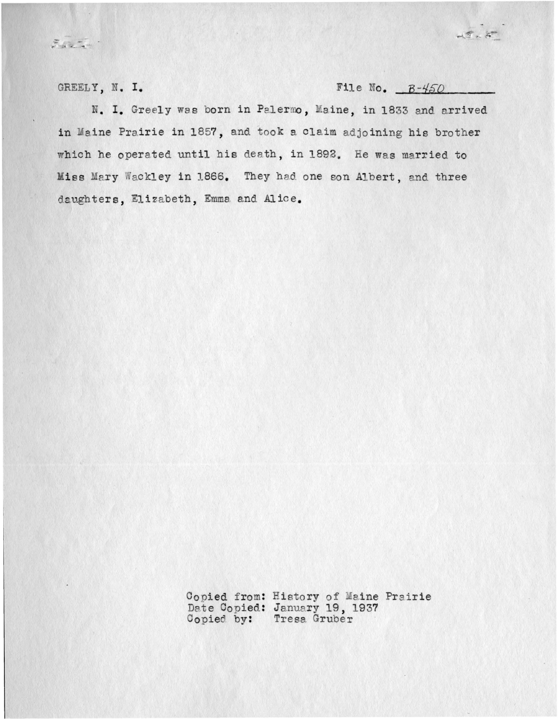GREELY, N. I.

 $\frac{1}{\sqrt{2}}\frac{1}{\sqrt{2}}\frac{1}{\sqrt{2}}\frac{1}{\sqrt{2}}\frac{1}{\sqrt{2}}\frac{1}{\sqrt{2}}\frac{1}{\sqrt{2}}\frac{1}{\sqrt{2}}\frac{1}{\sqrt{2}}\frac{1}{\sqrt{2}}\frac{1}{\sqrt{2}}\frac{1}{\sqrt{2}}\frac{1}{\sqrt{2}}\frac{1}{\sqrt{2}}\frac{1}{\sqrt{2}}\frac{1}{\sqrt{2}}\frac{1}{\sqrt{2}}\frac{1}{\sqrt{2}}\frac{1}{\sqrt{2}}\frac{1}{\sqrt{2}}\frac{1}{\sqrt{2}}\frac{1}{\sqrt{2}}$ 

File No.  $B-450$ 

 $45.8$ 

N. I. Greely was born in Palermo, Maine, in 1833 and arrived in Maine Prairie in 1857, and took a claim adjoining his brother which he operated until his death, in 1892. He was married to Miss Mary Wackley in 1866. They had one son Albert, and three daughters, Elizabeth, Emma and Alice.

Copied from: History of Maine Prairie<br>Date Copied: January 19, 1937<br>Copied by: Tresa Gruber